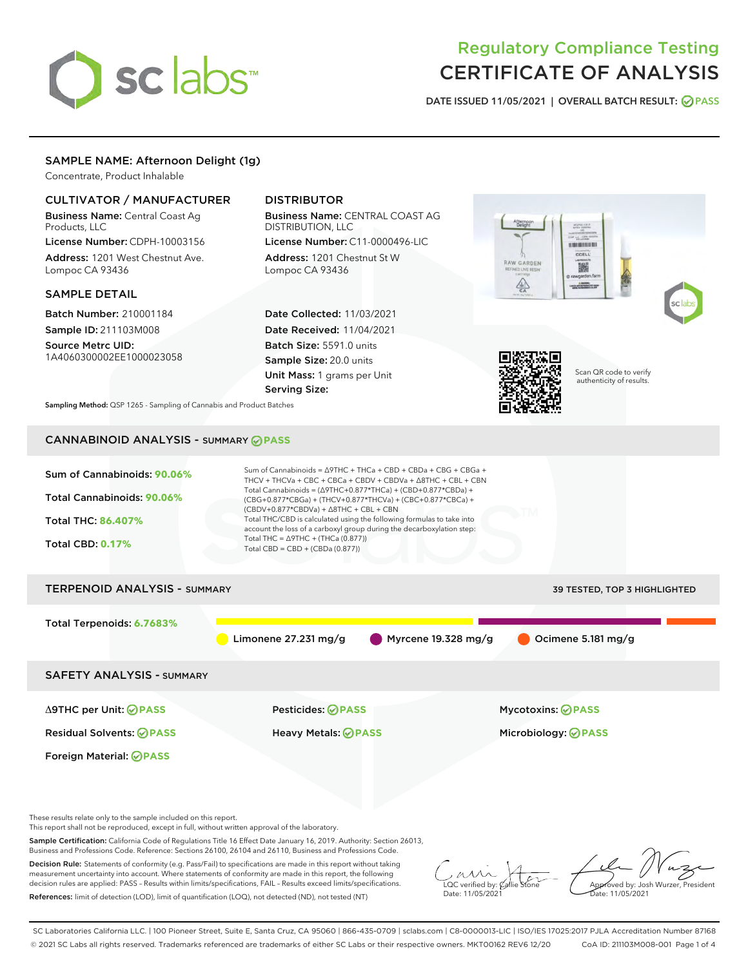# sclabs<sup>\*</sup>

# Regulatory Compliance Testing CERTIFICATE OF ANALYSIS

DATE ISSUED 11/05/2021 | OVERALL BATCH RESULT: @ PASS

# SAMPLE NAME: Afternoon Delight (1g)

Concentrate, Product Inhalable

# CULTIVATOR / MANUFACTURER

Business Name: Central Coast Ag Products, LLC

License Number: CDPH-10003156 Address: 1201 West Chestnut Ave. Lompoc CA 93436

# SAMPLE DETAIL

Batch Number: 210001184 Sample ID: 211103M008

Source Metrc UID: 1A4060300002EE1000023058

# DISTRIBUTOR

Business Name: CENTRAL COAST AG DISTRIBUTION, LLC

License Number: C11-0000496-LIC Address: 1201 Chestnut St W Lompoc CA 93436

Date Collected: 11/03/2021 Date Received: 11/04/2021 Batch Size: 5591.0 units Sample Size: 20.0 units Unit Mass: 1 grams per Unit Serving Size:





Scan QR code to verify authenticity of results.

Sampling Method: QSP 1265 - Sampling of Cannabis and Product Batches

# CANNABINOID ANALYSIS - SUMMARY **PASS**



These results relate only to the sample included on this report.

This report shall not be reproduced, except in full, without written approval of the laboratory.

Sample Certification: California Code of Regulations Title 16 Effect Date January 16, 2019. Authority: Section 26013, Business and Professions Code. Reference: Sections 26100, 26104 and 26110, Business and Professions Code.

Decision Rule: Statements of conformity (e.g. Pass/Fail) to specifications are made in this report without taking measurement uncertainty into account. Where statements of conformity are made in this report, the following decision rules are applied: PASS – Results within limits/specifications, FAIL – Results exceed limits/specifications. References: limit of detection (LOD), limit of quantification (LOQ), not detected (ND), not tested (NT)

 $\overline{\text{LOC}}$  verified by:  $\mathcal{C}_i$ Date: 11/05/2021

Approved by: Josh Wurzer, President ate: 11/05/2021

SC Laboratories California LLC. | 100 Pioneer Street, Suite E, Santa Cruz, CA 95060 | 866-435-0709 | sclabs.com | C8-0000013-LIC | ISO/IES 17025:2017 PJLA Accreditation Number 87168 © 2021 SC Labs all rights reserved. Trademarks referenced are trademarks of either SC Labs or their respective owners. MKT00162 REV6 12/20 CoA ID: 211103M008-001 Page 1 of 4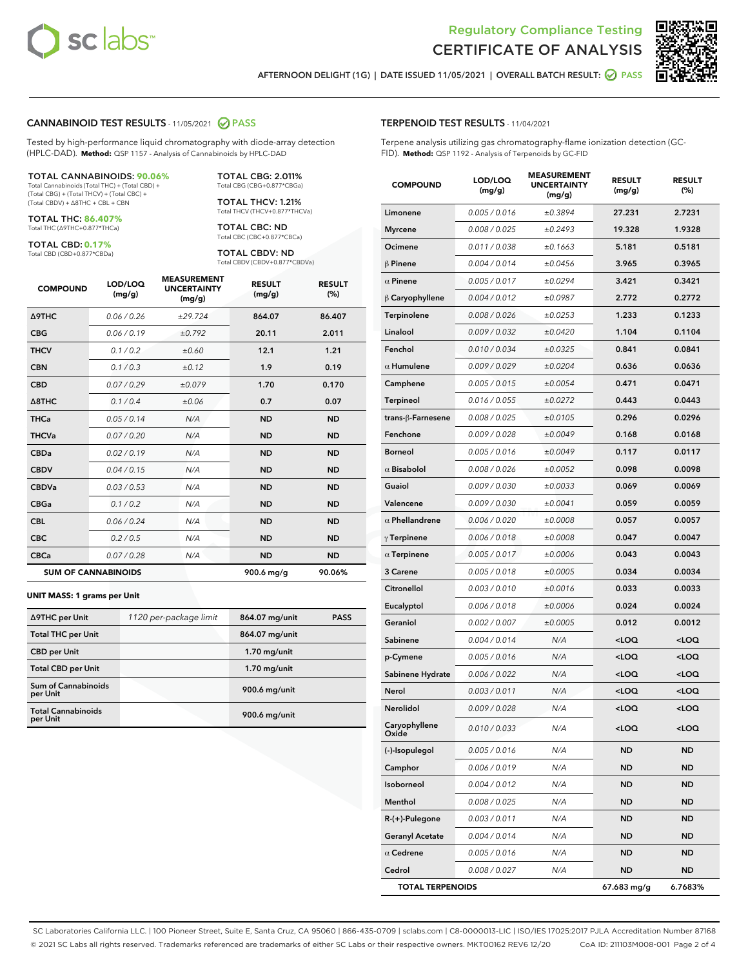



AFTERNOON DELIGHT (1G) | DATE ISSUED 11/05/2021 | OVERALL BATCH RESULT: @ PASS

#### CANNABINOID TEST RESULTS - 11/05/2021 2 PASS

Tested by high-performance liquid chromatography with diode-array detection (HPLC-DAD). **Method:** QSP 1157 - Analysis of Cannabinoids by HPLC-DAD

#### TOTAL CANNABINOIDS: **90.06%**

Total Cannabinoids (Total THC) + (Total CBD) + (Total CBG) + (Total THCV) + (Total CBC) + (Total CBDV) + ∆8THC + CBL + CBN

TOTAL THC: **86.407%** Total THC (∆9THC+0.877\*THCa)

TOTAL CBD: **0.17%**

Total CBD (CBD+0.877\*CBDa)

TOTAL CBG: 2.011% Total CBG (CBG+0.877\*CBGa)

TOTAL THCV: 1.21% Total THCV (THCV+0.877\*THCVa)

TOTAL CBC: ND Total CBC (CBC+0.877\*CBCa)

TOTAL CBDV: ND Total CBDV (CBDV+0.877\*CBDVa)

| <b>COMPOUND</b>  | LOD/LOQ<br>(mg/g)          | <b>MEASUREMENT</b><br><b>UNCERTAINTY</b><br>(mg/g) | <b>RESULT</b><br>(mg/g) | <b>RESULT</b><br>(%) |
|------------------|----------------------------|----------------------------------------------------|-------------------------|----------------------|
| Δ9THC            | 0.06 / 0.26                | ±29.724                                            | 864.07                  | 86.407               |
| <b>CBG</b>       | 0.06 / 0.19                | ±0.792                                             | 20.11                   | 2.011                |
| <b>THCV</b>      | 0.1 / 0.2                  | ±0.60                                              | 12.1                    | 1.21                 |
| <b>CBN</b>       | 0.1/0.3                    | ±0.12                                              | 1.9                     | 0.19                 |
| <b>CBD</b>       | 0.07/0.29                  | ±0.079                                             | 1.70                    | 0.170                |
| $\triangle$ 8THC | 0.1/0.4                    | ±0.06                                              | 0.7                     | 0.07                 |
| <b>THCa</b>      | 0.05/0.14                  | N/A                                                | <b>ND</b>               | <b>ND</b>            |
| <b>THCVa</b>     | 0.07 / 0.20                | N/A                                                | <b>ND</b>               | <b>ND</b>            |
| <b>CBDa</b>      | 0.02/0.19                  | N/A                                                | <b>ND</b>               | <b>ND</b>            |
| <b>CBDV</b>      | 0.04 / 0.15                | N/A                                                | <b>ND</b>               | <b>ND</b>            |
| <b>CBDVa</b>     | 0.03/0.53                  | N/A                                                | <b>ND</b>               | <b>ND</b>            |
| <b>CBGa</b>      | 0.1/0.2                    | N/A                                                | <b>ND</b>               | <b>ND</b>            |
| <b>CBL</b>       | 0.06 / 0.24                | N/A                                                | <b>ND</b>               | <b>ND</b>            |
| <b>CBC</b>       | 0.2 / 0.5                  | N/A                                                | <b>ND</b>               | <b>ND</b>            |
| <b>CBCa</b>      | 0.07 / 0.28                | N/A                                                | <b>ND</b>               | <b>ND</b>            |
|                  | <b>SUM OF CANNABINOIDS</b> |                                                    | 900.6 mg/g              | 90.06%               |

#### **UNIT MASS: 1 grams per Unit**

| ∆9THC per Unit                        | 1120 per-package limit | 864.07 mg/unit | <b>PASS</b> |
|---------------------------------------|------------------------|----------------|-------------|
| <b>Total THC per Unit</b>             |                        | 864.07 mg/unit |             |
| <b>CBD per Unit</b>                   |                        | $1.70$ mg/unit |             |
| <b>Total CBD per Unit</b>             |                        | $1.70$ mg/unit |             |
| Sum of Cannabinoids<br>per Unit       |                        | 900.6 mg/unit  |             |
| <b>Total Cannabinoids</b><br>per Unit |                        | 900.6 mg/unit  |             |

| <b>COMPOUND</b>         | LOD/LOQ<br>(mg/g) | ASUREIVI<br><b>UNCERTAINTY</b><br>(mg/g) | <b>RESULT</b><br>(mg/g)                         | <b>RESULT</b><br>$(\%)$ |
|-------------------------|-------------------|------------------------------------------|-------------------------------------------------|-------------------------|
| Limonene                | 0.005 / 0.016     | ±0.3894                                  | 27.231                                          | 2.7231                  |
| <b>Myrcene</b>          | 0.008 / 0.025     | ±0.2493                                  | 19.328                                          | 1.9328                  |
| Ocimene                 | 0.011 / 0.038     | ±0.1663                                  | 5.181                                           | 0.5181                  |
| $\beta$ Pinene          | 0.004 / 0.014     | ±0.0456                                  | 3.965                                           | 0.3965                  |
| $\alpha$ Pinene         | 0.005 / 0.017     | ±0.0294                                  | 3.421                                           | 0.3421                  |
| $\beta$ Caryophyllene   | 0.004 / 0.012     | ±0.0987                                  | 2.772                                           | 0.2772                  |
| Terpinolene             | 0.008 / 0.026     | ±0.0253                                  | 1.233                                           | 0.1233                  |
| Linalool                | 0.009 / 0.032     | ±0.0420                                  | 1.104                                           | 0.1104                  |
| Fenchol                 | 0.010 / 0.034     | ±0.0325                                  | 0.841                                           | 0.0841                  |
| $\alpha$ Humulene       | 0.009 / 0.029     | ±0.0204                                  | 0.636                                           | 0.0636                  |
| Camphene                | 0.005 / 0.015     | ±0.0054                                  | 0.471                                           | 0.0471                  |
| <b>Terpineol</b>        | 0.016 / 0.055     | ±0.0272                                  | 0.443                                           | 0.0443                  |
| trans-ß-Farnesene       | 0.008 / 0.025     | ±0.0105                                  | 0.296                                           | 0.0296                  |
| Fenchone                | 0.009 / 0.028     | ±0.0049                                  | 0.168                                           | 0.0168                  |
| <b>Borneol</b>          | 0.005 / 0.016     | ±0.0049                                  | 0.117                                           | 0.0117                  |
| $\alpha$ Bisabolol      | 0.008 / 0.026     | ±0.0052                                  | 0.098                                           | 0.0098                  |
| Guaiol                  | 0.009 / 0.030     | ±0.0033                                  | 0.069                                           | 0.0069                  |
| Valencene               | 0.009 / 0.030     | ±0.0041                                  | 0.059                                           | 0.0059                  |
| $\alpha$ Phellandrene   | 0.006 / 0.020     | ±0.0008                                  | 0.057                                           | 0.0057                  |
| $\gamma$ Terpinene      | 0.006 / 0.018     | ±0.0008                                  | 0.047                                           | 0.0047                  |
| $\alpha$ Terpinene      | 0.005 / 0.017     | ±0.0006                                  | 0.043                                           | 0.0043                  |
| 3 Carene                | 0.005 / 0.018     | ±0.0005                                  | 0.034                                           | 0.0034                  |
| Citronellol             | 0.003 / 0.010     | ±0.0016                                  | 0.033                                           | 0.0033                  |
| Eucalyptol              | 0.006 / 0.018     | ±0.0006                                  | 0.024                                           | 0.0024                  |
| Geraniol                | 0.002 / 0.007     | ±0.0005                                  | 0.012                                           | 0.0012                  |
| Sabinene                | 0.004 / 0.014     | N/A                                      | <loq< th=""><th><loq< th=""></loq<></th></loq<> | <loq< th=""></loq<>     |
| p-Cymene                | 0.005 / 0.016     | N/A                                      | <loq< th=""><th><loq< th=""></loq<></th></loq<> | <loq< th=""></loq<>     |
| Sabinene Hydrate        | 0.006 / 0.022     | N/A                                      | <loq< th=""><th><loq< th=""></loq<></th></loq<> | <loq< th=""></loq<>     |
| Nerol                   | 0.003 / 0.011     | N/A                                      | <loq< th=""><th><loq< th=""></loq<></th></loq<> | <loq< th=""></loq<>     |
| Nerolidol               | 0.009/0.028       | N/A                                      | <loq< th=""><th><loq< th=""></loq<></th></loq<> | <loq< th=""></loq<>     |
| Caryophyllene<br>Oxide  | 0.010 / 0.033     | N/A                                      | <loq< th=""><th><loq< th=""></loq<></th></loq<> | <loq< th=""></loq<>     |
| (-)-Isopulegol          | 0.005 / 0.016     | N/A                                      | ND                                              | ND                      |
| Camphor                 | 0.006 / 0.019     | N/A                                      | ND                                              | ND                      |
| Isoborneol              | 0.004 / 0.012     | N/A                                      | ND                                              | ND                      |
| Menthol                 | 0.008 / 0.025     | N/A                                      | ND                                              | ND                      |
| R-(+)-Pulegone          | 0.003 / 0.011     | N/A                                      | ND                                              | ND                      |
| <b>Geranyl Acetate</b>  | 0.004 / 0.014     | N/A                                      | ND                                              | ND                      |
| $\alpha$ Cedrene        | 0.005 / 0.016     | N/A                                      | ND                                              | ND                      |
| Cedrol                  | 0.008 / 0.027     | N/A                                      | ND                                              | ND                      |
| <b>TOTAL TERPENOIDS</b> |                   |                                          | 67.683 mg/g                                     | 6.7683%                 |

SC Laboratories California LLC. | 100 Pioneer Street, Suite E, Santa Cruz, CA 95060 | 866-435-0709 | sclabs.com | C8-0000013-LIC | ISO/IES 17025:2017 PJLA Accreditation Number 87168 © 2021 SC Labs all rights reserved. Trademarks referenced are trademarks of either SC Labs or their respective owners. MKT00162 REV6 12/20 CoA ID: 211103M008-001 Page 2 of 4

# TERPENOID TEST RESULTS - 11/04/2021

Terpene analysis utilizing gas chromatography-flame ionization detection (GC-FID). **Method:** QSP 1192 - Analysis of Terpenoids by GC-FID

MEASUREMENT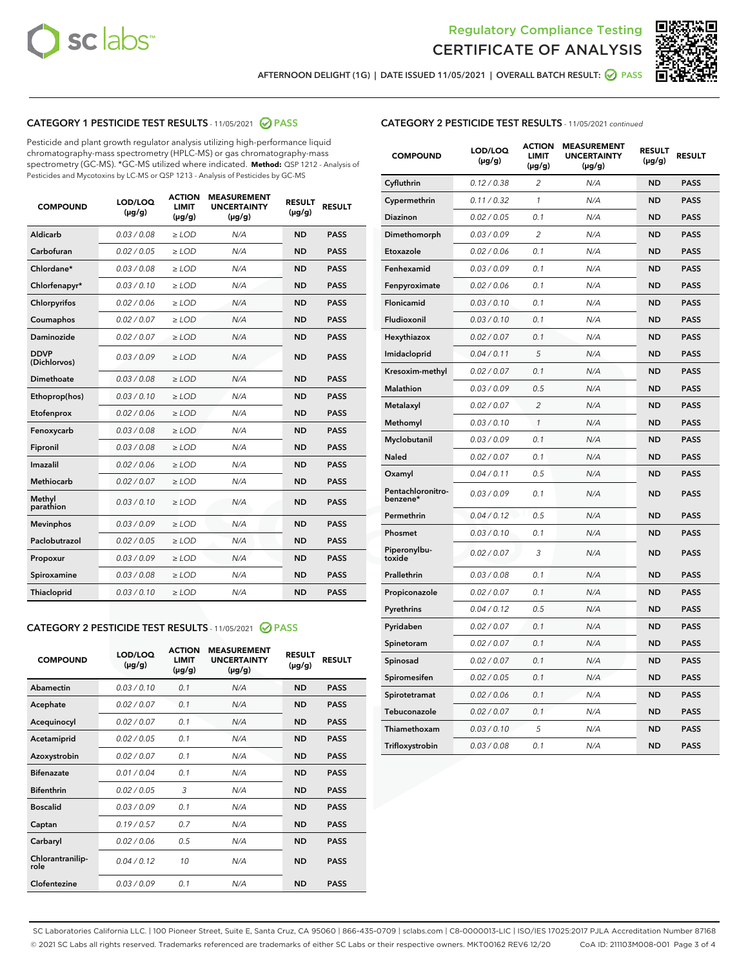



AFTERNOON DELIGHT (1G) | DATE ISSUED 11/05/2021 | OVERALL BATCH RESULT: @ PASS

# CATEGORY 1 PESTICIDE TEST RESULTS - 11/05/2021 2 PASS

Pesticide and plant growth regulator analysis utilizing high-performance liquid chromatography-mass spectrometry (HPLC-MS) or gas chromatography-mass spectrometry (GC-MS). \*GC-MS utilized where indicated. **Method:** QSP 1212 - Analysis of Pesticides and Mycotoxins by LC-MS or QSP 1213 - Analysis of Pesticides by GC-MS

| <b>COMPOUND</b>             | LOD/LOQ<br>$(\mu g/g)$ | <b>ACTION</b><br><b>LIMIT</b><br>$(\mu g/g)$ | <b>MEASUREMENT</b><br><b>UNCERTAINTY</b><br>$(\mu g/g)$ | <b>RESULT</b><br>$(\mu g/g)$ | <b>RESULT</b> |
|-----------------------------|------------------------|----------------------------------------------|---------------------------------------------------------|------------------------------|---------------|
| Aldicarb                    | 0.03 / 0.08            | $\ge$ LOD                                    | N/A                                                     | <b>ND</b>                    | <b>PASS</b>   |
| Carbofuran                  | 0.02/0.05              | $>$ LOD                                      | N/A                                                     | <b>ND</b>                    | <b>PASS</b>   |
| Chlordane*                  | 0.03 / 0.08            | $\ge$ LOD                                    | N/A                                                     | <b>ND</b>                    | <b>PASS</b>   |
| Chlorfenapyr*               | 0.03/0.10              | $>$ LOD                                      | N/A                                                     | <b>ND</b>                    | <b>PASS</b>   |
| Chlorpyrifos                | 0.02 / 0.06            | $\geq$ LOD                                   | N/A                                                     | <b>ND</b>                    | <b>PASS</b>   |
| Coumaphos                   | 0.02 / 0.07            | $\ge$ LOD                                    | N/A                                                     | <b>ND</b>                    | <b>PASS</b>   |
| Daminozide                  | 0.02 / 0.07            | $\ge$ LOD                                    | N/A                                                     | <b>ND</b>                    | <b>PASS</b>   |
| <b>DDVP</b><br>(Dichlorvos) | 0.03/0.09              | $\ge$ LOD                                    | N/A                                                     | <b>ND</b>                    | <b>PASS</b>   |
| Dimethoate                  | 0.03/0.08              | $>$ LOD                                      | N/A                                                     | <b>ND</b>                    | <b>PASS</b>   |
| Ethoprop(hos)               | 0.03/0.10              | $\ge$ LOD                                    | N/A                                                     | <b>ND</b>                    | <b>PASS</b>   |
| Etofenprox                  | 0.02 / 0.06            | $\ge$ LOD                                    | N/A                                                     | <b>ND</b>                    | <b>PASS</b>   |
| Fenoxycarb                  | 0.03 / 0.08            | $\ge$ LOD                                    | N/A                                                     | <b>ND</b>                    | <b>PASS</b>   |
| Fipronil                    | 0.03/0.08              | $>$ LOD                                      | N/A                                                     | <b>ND</b>                    | <b>PASS</b>   |
| Imazalil                    | 0.02 / 0.06            | $\ge$ LOD                                    | N/A                                                     | <b>ND</b>                    | <b>PASS</b>   |
| Methiocarb                  | 0.02 / 0.07            | $\ge$ LOD                                    | N/A                                                     | <b>ND</b>                    | <b>PASS</b>   |
| Methyl<br>parathion         | 0.03/0.10              | $\ge$ LOD                                    | N/A                                                     | <b>ND</b>                    | <b>PASS</b>   |
| <b>Mevinphos</b>            | 0.03/0.09              | $>$ LOD                                      | N/A                                                     | <b>ND</b>                    | <b>PASS</b>   |
| Paclobutrazol               | 0.02 / 0.05            | $\ge$ LOD                                    | N/A                                                     | <b>ND</b>                    | <b>PASS</b>   |
| Propoxur                    | 0.03/0.09              | $\ge$ LOD                                    | N/A                                                     | <b>ND</b>                    | <b>PASS</b>   |
| Spiroxamine                 | 0.03 / 0.08            | $\ge$ LOD                                    | N/A                                                     | <b>ND</b>                    | <b>PASS</b>   |
| Thiacloprid                 | 0.03/0.10              | $\ge$ LOD                                    | N/A                                                     | <b>ND</b>                    | <b>PASS</b>   |

#### CATEGORY 2 PESTICIDE TEST RESULTS - 11/05/2021 @ PASS

| <b>COMPOUND</b>          | LOD/LOO<br>$(\mu g/g)$ | <b>ACTION</b><br>LIMIT<br>$(\mu g/g)$ | <b>MEASUREMENT</b><br><b>UNCERTAINTY</b><br>$(\mu g/g)$ | <b>RESULT</b><br>$(\mu g/g)$ | <b>RESULT</b> |  |
|--------------------------|------------------------|---------------------------------------|---------------------------------------------------------|------------------------------|---------------|--|
| Abamectin                | 0.03/0.10              | 0.1                                   | N/A                                                     | <b>ND</b>                    | <b>PASS</b>   |  |
| Acephate                 | 0.02/0.07              | 0.1                                   | N/A                                                     | <b>ND</b>                    | <b>PASS</b>   |  |
| Acequinocyl              | 0.02/0.07              | 0.1                                   | N/A                                                     | <b>ND</b>                    | <b>PASS</b>   |  |
| Acetamiprid              | 0.02 / 0.05            | 0.1                                   | N/A                                                     | <b>ND</b>                    | <b>PASS</b>   |  |
| Azoxystrobin             | 0.02/0.07              | 0.1                                   | N/A                                                     | <b>ND</b>                    | <b>PASS</b>   |  |
| <b>Bifenazate</b>        | 0.01 / 0.04            | 0.1                                   | N/A                                                     | <b>ND</b>                    | <b>PASS</b>   |  |
| <b>Bifenthrin</b>        | 0.02 / 0.05            | 3                                     | N/A                                                     | <b>ND</b>                    | <b>PASS</b>   |  |
| <b>Boscalid</b>          | 0.03/0.09              | 0.1                                   | N/A                                                     | <b>ND</b>                    | <b>PASS</b>   |  |
| Captan                   | 0.19/0.57              | 0.7                                   | N/A                                                     | <b>ND</b>                    | <b>PASS</b>   |  |
| Carbaryl                 | 0.02/0.06              | 0.5                                   | N/A                                                     | <b>ND</b>                    | <b>PASS</b>   |  |
| Chlorantranilip-<br>role | 0.04/0.12              | 10                                    | N/A                                                     | <b>ND</b>                    | <b>PASS</b>   |  |
| Clofentezine             | 0.03/0.09              | 0.1                                   | N/A                                                     | <b>ND</b>                    | <b>PASS</b>   |  |

# CATEGORY 2 PESTICIDE TEST RESULTS - 11/05/2021 continued

| <b>COMPOUND</b>               | LOD/LOQ<br>(µg/g) | <b>ACTION</b><br><b>LIMIT</b><br>$(\mu g/g)$ | <b>MEASUREMENT</b><br><b>UNCERTAINTY</b><br>(µg/g) | <b>RESULT</b><br>(µg/g) | <b>RESULT</b> |
|-------------------------------|-------------------|----------------------------------------------|----------------------------------------------------|-------------------------|---------------|
| Cyfluthrin                    | 0.12 / 0.38       | $\overline{c}$                               | N/A                                                | ND                      | <b>PASS</b>   |
| Cypermethrin                  | 0.11 / 0.32       | $\mathcal{I}$                                | N/A                                                | ND                      | <b>PASS</b>   |
| Diazinon                      | 0.02 / 0.05       | 0.1                                          | N/A                                                | <b>ND</b>               | <b>PASS</b>   |
| Dimethomorph                  | 0.03 / 0.09       | 2                                            | N/A                                                | ND                      | <b>PASS</b>   |
| Etoxazole                     | 0.02 / 0.06       | 0.1                                          | N/A                                                | ND                      | <b>PASS</b>   |
| Fenhexamid                    | 0.03 / 0.09       | 0.1                                          | N/A                                                | <b>ND</b>               | <b>PASS</b>   |
| Fenpyroximate                 | 0.02 / 0.06       | 0.1                                          | N/A                                                | ND                      | <b>PASS</b>   |
| Flonicamid                    | 0.03 / 0.10       | 0.1                                          | N/A                                                | ND                      | <b>PASS</b>   |
| Fludioxonil                   | 0.03 / 0.10       | 0.1                                          | N/A                                                | <b>ND</b>               | <b>PASS</b>   |
| Hexythiazox                   | 0.02 / 0.07       | 0.1                                          | N/A                                                | ND                      | <b>PASS</b>   |
| Imidacloprid                  | 0.04 / 0.11       | 5                                            | N/A                                                | ND                      | <b>PASS</b>   |
| Kresoxim-methyl               | 0.02 / 0.07       | 0.1                                          | N/A                                                | <b>ND</b>               | <b>PASS</b>   |
| Malathion                     | 0.03 / 0.09       | 0.5                                          | N/A                                                | ND                      | <b>PASS</b>   |
| Metalaxyl                     | 0.02 / 0.07       | $\overline{c}$                               | N/A                                                | ND                      | <b>PASS</b>   |
| Methomyl                      | 0.03 / 0.10       | $\mathbf{1}$                                 | N/A                                                | <b>ND</b>               | <b>PASS</b>   |
| Myclobutanil                  | 0.03 / 0.09       | 0.1                                          | N/A                                                | ND                      | <b>PASS</b>   |
| Naled                         | 0.02 / 0.07       | 0.1                                          | N/A                                                | ND                      | <b>PASS</b>   |
| Oxamyl                        | 0.04 / 0.11       | 0.5                                          | N/A                                                | ND                      | <b>PASS</b>   |
| Pentachloronitro-<br>benzene* | 0.03 / 0.09       | 0.1                                          | N/A                                                | ND                      | <b>PASS</b>   |
| Permethrin                    | 0.04 / 0.12       | 0.5                                          | N/A                                                | <b>ND</b>               | <b>PASS</b>   |
| Phosmet                       | 0.03 / 0.10       | 0.1                                          | N/A                                                | ND                      | <b>PASS</b>   |
| Piperonylbu-<br>toxide        | 0.02 / 0.07       | 3                                            | N/A                                                | ND                      | <b>PASS</b>   |
| Prallethrin                   | 0.03 / 0.08       | 0.1                                          | N/A                                                | ND                      | <b>PASS</b>   |
| Propiconazole                 | 0.02 / 0.07       | 0.1                                          | N/A                                                | ND                      | <b>PASS</b>   |
| Pyrethrins                    | 0.04 / 0.12       | 0.5                                          | N/A                                                | <b>ND</b>               | <b>PASS</b>   |
| Pyridaben                     | 0.02 / 0.07       | 0.1                                          | N/A                                                | ND                      | <b>PASS</b>   |
| Spinetoram                    | 0.02 / 0.07       | 0.1                                          | N/A                                                | ND                      | PASS          |
| Spinosad                      | 0.02 / 0.07       | 0.1                                          | N/A                                                | <b>ND</b>               | <b>PASS</b>   |
| Spiromesifen                  | 0.02 / 0.05       | 0.1                                          | N/A                                                | ND                      | <b>PASS</b>   |
| Spirotetramat                 | 0.02 / 0.06       | 0.1                                          | N/A                                                | ND                      | <b>PASS</b>   |
| Tebuconazole                  | 0.02 / 0.07       | 0.1                                          | N/A                                                | ND                      | <b>PASS</b>   |
| Thiamethoxam                  | 0.03 / 0.10       | 5                                            | N/A                                                | ND                      | <b>PASS</b>   |
| Trifloxystrobin               | 0.03 / 0.08       | 0.1                                          | N/A                                                | <b>ND</b>               | <b>PASS</b>   |

SC Laboratories California LLC. | 100 Pioneer Street, Suite E, Santa Cruz, CA 95060 | 866-435-0709 | sclabs.com | C8-0000013-LIC | ISO/IES 17025:2017 PJLA Accreditation Number 87168 © 2021 SC Labs all rights reserved. Trademarks referenced are trademarks of either SC Labs or their respective owners. MKT00162 REV6 12/20 CoA ID: 211103M008-001 Page 3 of 4